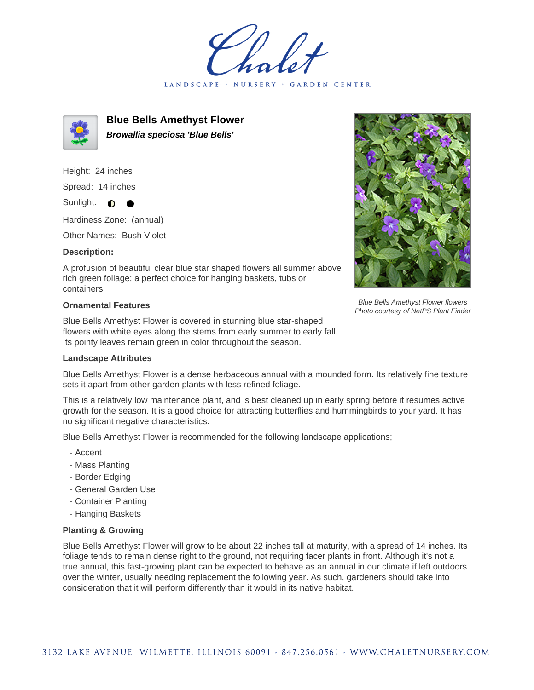LANDSCAPE · NURSERY GARDEN CENTER



**Blue Bells Amethyst Flower Browallia speciosa 'Blue Bells'**

Height: 24 inches Spread: 14 inches

Sunlight:  $\bullet$ 

Hardiness Zone: (annual)

Other Names: Bush Violet

## **Description:**

A profusion of beautiful clear blue star shaped flowers all summer above rich green foliage; a perfect choice for hanging baskets, tubs or containers

## **Ornamental Features**

Blue Bells Amethyst Flower is covered in stunning blue star-shaped flowers with white eyes along the stems from early summer to early fall. Its pointy leaves remain green in color throughout the season.



Blue Bells Amethyst Flower is a dense herbaceous annual with a mounded form. Its relatively fine texture sets it apart from other garden plants with less refined foliage.

This is a relatively low maintenance plant, and is best cleaned up in early spring before it resumes active growth for the season. It is a good choice for attracting butterflies and hummingbirds to your yard. It has no significant negative characteristics.

Blue Bells Amethyst Flower is recommended for the following landscape applications;

- Accent
- Mass Planting
- Border Edging
- General Garden Use
- Container Planting
- Hanging Baskets

## **Planting & Growing**

Blue Bells Amethyst Flower will grow to be about 22 inches tall at maturity, with a spread of 14 inches. Its foliage tends to remain dense right to the ground, not requiring facer plants in front. Although it's not a true annual, this fast-growing plant can be expected to behave as an annual in our climate if left outdoors over the winter, usually needing replacement the following year. As such, gardeners should take into consideration that it will perform differently than it would in its native habitat.



Blue Bells Amethyst Flower flowers Photo courtesy of NetPS Plant Finder